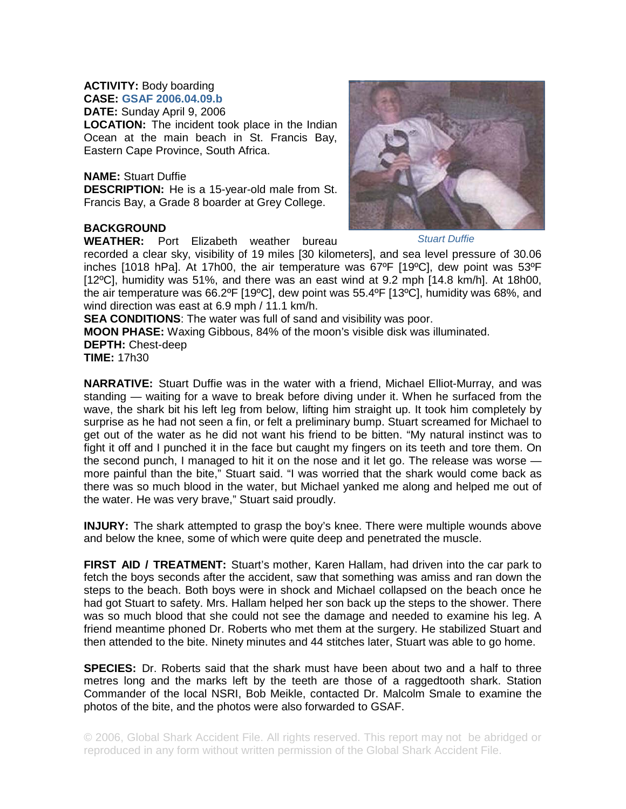## **ACTIVITY:** Body boarding

**CASE: GSAF 2006.04.09.b DATE:** Sunday April 9, 2006

**LOCATION:** The incident took place in the Indian Ocean at the main beach in St. Francis Bay, Eastern Cape Province, South Africa.

## **NAME:** Stuart Duffie

**DESCRIPTION:** He is a 15-year-old male from St. Francis Bay, a Grade 8 boarder at Grey College.

## **BACKGROUND**

**WEATHER:** Port Elizabeth weather bureau



*Stuart Duffie* 

recorded a clear sky, visibility of 19 miles [30 kilometers], and sea level pressure of 30.06 inches [1018 hPa]. At 17h00, the air temperature was 67ºF [19ºC], dew point was 53ºF [12°C], humidity was 51%, and there was an east wind at 9.2 mph [14.8 km/h]. At 18h00, the air temperature was 66.2ºF [19ºC], dew point was 55.4ºF [13ºC], humidity was 68%, and wind direction was east at 6.9 mph / 11.1 km/h.

**SEA CONDITIONS:** The water was full of sand and visibility was poor.

**MOON PHASE:** Waxing Gibbous, 84% of the moon's visible disk was illuminated. **DEPTH:** Chest-deep

**TIME:** 17h30

**NARRATIVE:** Stuart Duffie was in the water with a friend, Michael Elliot-Murray, and was standing — waiting for a wave to break before diving under it. When he surfaced from the wave, the shark bit his left leg from below, lifting him straight up. It took him completely by surprise as he had not seen a fin, or felt a preliminary bump. Stuart screamed for Michael to get out of the water as he did not want his friend to be bitten. "My natural instinct was to fight it off and I punched it in the face but caught my fingers on its teeth and tore them. On the second punch, I managed to hit it on the nose and it let go. The release was worse more painful than the bite," Stuart said. "I was worried that the shark would come back as there was so much blood in the water, but Michael yanked me along and helped me out of the water. He was very brave," Stuart said proudly.

**INJURY:** The shark attempted to grasp the boy's knee. There were multiple wounds above and below the knee, some of which were quite deep and penetrated the muscle.

**FIRST AID / TREATMENT:** Stuart's mother, Karen Hallam, had driven into the car park to fetch the boys seconds after the accident, saw that something was amiss and ran down the steps to the beach. Both boys were in shock and Michael collapsed on the beach once he had got Stuart to safety. Mrs. Hallam helped her son back up the steps to the shower. There was so much blood that she could not see the damage and needed to examine his leg. A friend meantime phoned Dr. Roberts who met them at the surgery. He stabilized Stuart and then attended to the bite. Ninety minutes and 44 stitches later, Stuart was able to go home.

**SPECIES:** Dr. Roberts said that the shark must have been about two and a half to three metres long and the marks left by the teeth are those of a raggedtooth shark. Station Commander of the local NSRI, Bob Meikle, contacted Dr. Malcolm Smale to examine the photos of the bite, and the photos were also forwarded to GSAF.

© 2006, Global Shark Accident File. All rights reserved. This report may not be abridged or reproduced in any form without written permission of the Global Shark Accident File.